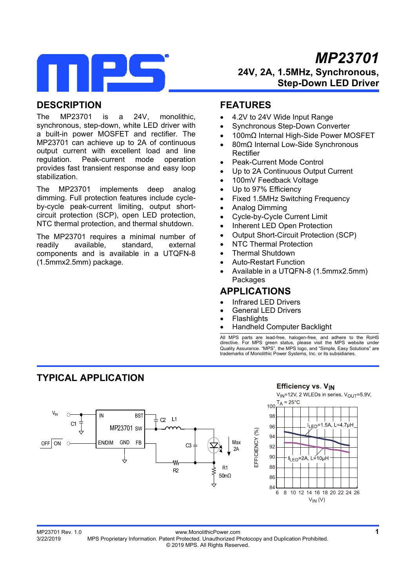

# *MP23701*  **24V, 2A, 1.5MHz, Synchronous, Step-Down LED Driver**

## **DESCRIPTION**

The MP23701 is a 24V, monolithic, synchronous, step-down, white LED driver with a built-in power MOSFET and rectifier. The MP23701 can achieve up to 2A of continuous output current with excellent load and line regulation. Peak-current mode operation provides fast transient response and easy loop stabilization.

The MP23701 implements deep analog dimming. Full protection features include cycleby-cycle peak-current limiting, output shortcircuit protection (SCP), open LED protection, NTC thermal protection, and thermal shutdown.

The MP23701 requires a minimal number of readily available, standard, external components and is available in a UTQFN-8 (1.5mmx2.5mm) package.

## **FEATURES**

- 4.2V to 24V Wide Input Range
- Synchronous Step-Down Converter
- 100mΩ Internal High-Side Power MOSFET
- 80mΩ Internal Low-Side Synchronous Rectifier
- Peak-Current Mode Control
- Up to 2A Continuous Output Current
- 100mV Feedback Voltage
- Up to 97% Efficiency
- Fixed 1.5MHz Switching Frequency
- Analog Dimming
- Cycle-by-Cycle Current Limit
- Inherent LED Open Protection
- Output Short-Circuit Protection (SCP)
- NTC Thermal Protection
- Thermal Shutdown
- Auto-Restart Function
- Available in a UTQFN-8 (1.5mmx2.5mm) Packages

### **APPLICATIONS**

- Infrared LED Drivers
- General LED Drivers
- **Flashlights**
- Handheld Computer Backlight

100

All MPS parts are lead-free, halogen-free, and adhere to the RoHS directive. For MPS green status, please visit the MPS website under Quality Assurance. "MPS", the MPS logo, and "Simple, Easy Solutions" are trademarks of Monolithic Power Systems, Inc. or its subsidiaries.

## **TYPICAL APPLICATION**



## **Efficiency vs. VIN**

 $V_{\text{IN}}$ =12V, 2 WLEDs in series,  $V_{\text{OUT}}$ =5.9V,  $T_A = 25^{\circ}$ C



1<br>MP23701 Rev. 1.0 www.MonolithicPower.com<br>3/22/2019 MPS Proprietary Information. Patent Protected. Unauthorized Photocopy and Duplication Prohibited. MPS Proprietary Information. Patent Protected. Unauthorized Photocopy and Duplication Prohibited. © 2019 MPS. All Rights Reserved.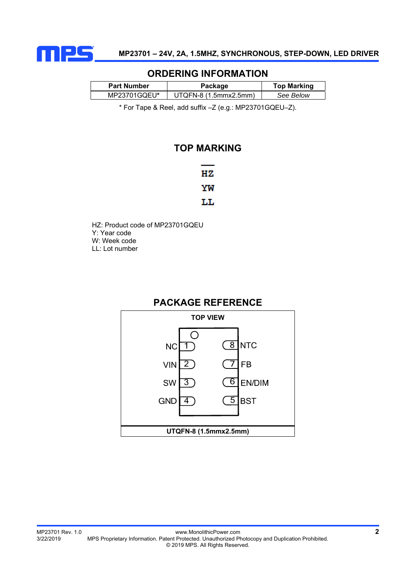

### **ORDERING INFORMATION**

| <b>Part Number</b> | Package               | <b>Top Marking</b> |  |  |
|--------------------|-----------------------|--------------------|--|--|
| MP23701GQEU*       | UTQFN-8 (1.5mmx2.5mm) | See Below          |  |  |
|                    |                       |                    |  |  |

\* For Tape & Reel, add suffix –Z (e.g.: MP23701GQEU–Z).

### **TOP MARKING**

| НZ |
|----|
| ΥW |
| ш. |

HZ: Product code of MP23701GQEU Y: Year code W: Week code LL: Lot number

## **PACKAGE REFERENCE**

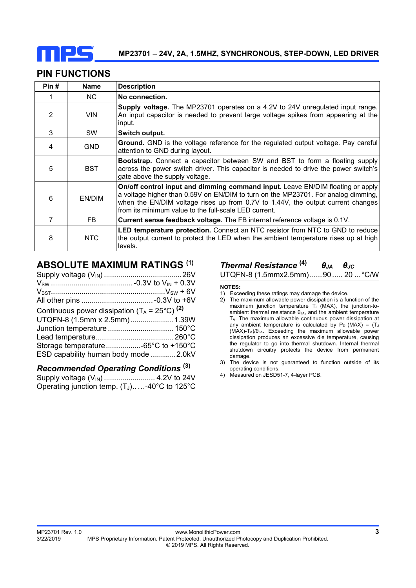

## **PIN FUNCTIONS**

| Pin# | <b>Name</b> | <b>Description</b>                                                                                                                                                                                                                                                                                              |
|------|-------------|-----------------------------------------------------------------------------------------------------------------------------------------------------------------------------------------------------------------------------------------------------------------------------------------------------------------|
|      | NC.         | No connection.                                                                                                                                                                                                                                                                                                  |
| 2    | <b>VIN</b>  | Supply voltage. The MP23701 operates on a 4.2V to 24V unregulated input range.<br>An input capacitor is needed to prevent large voltage spikes from appearing at the<br>input.                                                                                                                                  |
| 3    | <b>SW</b>   | Switch output.                                                                                                                                                                                                                                                                                                  |
| 4    | <b>GND</b>  | Ground. GND is the voltage reference for the regulated output voltage. Pay careful<br>attention to GND during layout.                                                                                                                                                                                           |
| 5    | <b>BST</b>  | <b>Bootstrap.</b> Connect a capacitor between SW and BST to form a floating supply<br>across the power switch driver. This capacitor is needed to drive the power switch's<br>gate above the supply voltage.                                                                                                    |
| 6    | EN/DIM      | On/off control input and dimming command input. Leave EN/DIM floating or apply<br>a voltage higher than 0.59V on EN/DIM to turn on the MP23701. For analog dimming,<br>when the EN/DIM voltage rises up from 0.7V to 1.44V, the output current changes<br>from its minimum value to the full-scale LED current. |
| 7    | FB.         | <b>Current sense feedback voltage.</b> The FB internal reference voltage is 0.1V.                                                                                                                                                                                                                               |
| 8    | NTC         | <b>LED temperature protection.</b> Connect an NTC resistor from NTC to GND to reduce<br>the output current to protect the LED when the ambient temperature rises up at high<br>levels.                                                                                                                          |

## **ABSOLUTE MAXIMUM RATINGS (1)**

| Continuous power dissipation $(T_A = 25^{\circ}C)^{(2)}$ |  |
|----------------------------------------------------------|--|
| UTQFN-8 (1.5mm x 2.5mm) 1.39W                            |  |
|                                                          |  |
|                                                          |  |
|                                                          |  |
| ESD capability human body mode  2.0kV                    |  |
|                                                          |  |

# *Recommended Operating Conditions* **(3)**

Supply voltage (V<sub>IN</sub>) ............................. 4.2V to 24V Operating junction temp.  $(T_J)$ .....-40°C to 125°C

# *Thermal Resistance* **(4)** *θJA θJC*

```
UTQFN-8 (1.5mmx2.5mm) ...... 90 ..... 20 ... °C/W
```
**NOTES:** 

- 1) Exceeding these ratings may damage the device.
- 2) The maximum allowable power dissipation is a function of the maximum junction temperature  $T_J$  (MAX), the junction-toambient thermal resistance  $\theta_{JA}$ , and the ambient temperature TA. The maximum allowable continuous power dissipation at any ambient temperature is calculated by  $P_D$  (MAX) = (TJ) (MAX)-TA)/θJA. Exceeding the maximum allowable power dissipation produces an excessive die temperature, causing the regulator to go into thermal shutdown. Internal thermal shutdown circuitry protects the device from permanent damage.
- 3) The device is not guaranteed to function outside of its operating conditions.
- 4) Measured on JESD51-7, 4-layer PCB.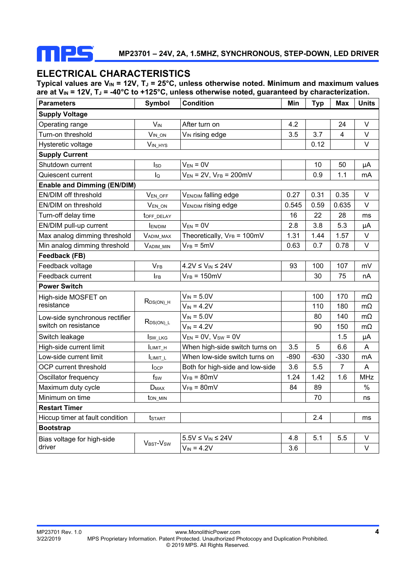

### **ELECTRICAL CHARACTERISTICS**

Typical values are V<sub>IN</sub> = 12V, T<sub>J</sub> = 25°C, unless otherwise noted. Minimum and maximum values are at V<sub>IN</sub> = 12V, T<sub>J</sub> = -40°C to +125°C, unless otherwise noted, guaranteed by characterization.

| <b>Parameters</b>                  | Symbol                         | <b>Condition</b>                        | Min    | <b>Typ</b>     | <b>Max</b>     | <b>Units</b> |  |  |
|------------------------------------|--------------------------------|-----------------------------------------|--------|----------------|----------------|--------------|--|--|
| <b>Supply Voltage</b>              |                                |                                         |        |                |                |              |  |  |
| Operating range                    | <b>V<sub>IN</sub></b>          | After turn on                           | 4.2    |                | 24             | V            |  |  |
| Turn-on threshold                  | VIN ON                         | V <sub>IN</sub> rising edge             | 3.5    | 3.7            | 4              | $\vee$       |  |  |
| Hysteretic voltage                 | V <sub>IN_HYS</sub>            |                                         |        | 0.12           |                | $\vee$       |  |  |
| <b>Supply Current</b>              |                                |                                         |        |                |                |              |  |  |
| Shutdown current                   | <b>I</b> sp                    | $V_{EN} = 0V$                           |        | 10             | 50             | μA           |  |  |
| Quiescent current                  | $I_{\mathsf{Q}}$               | $V_{EN}$ = 2V, $V_{FB}$ = 200mV         |        | 0.9            | 1.1            | mA           |  |  |
| <b>Enable and Dimming (EN/DIM)</b> |                                |                                         |        |                |                |              |  |  |
| EN/DIM off threshold               | VEN_OFF                        | VEN/DIM falling edge                    | 0.27   | 0.31           | 0.35           | $\vee$       |  |  |
| EN/DIM on threshold                | V <sub>EN_ON</sub>             | VEN/DIM rising edge                     | 0.545  | 0.59           | 0.635          | V            |  |  |
| Turn-off delay time                | toff_delay                     |                                         | 16     | 22             | 28             | ms           |  |  |
| EN/DIM pull-up current             | <b>EN/DIM</b>                  | $V_{EN} = 0V$                           | 2.8    | 3.8            | 5.3            | μA           |  |  |
| Max analog dimming threshold       | VADIM_MAX                      | Theoretically, $V_{FB} = 100 \text{mV}$ | 1.31   | 1.44           | 1.57           | V            |  |  |
| Min analog dimming threshold       | <b>VADIM MIN</b>               | $V_{FB} = 5mV$                          | 0.63   | 0.7            | 0.78           | V            |  |  |
| Feedback (FB)                      |                                |                                         |        |                |                |              |  |  |
| Feedback voltage                   | V <sub>FB</sub>                | $4.2V \leq V_{IN} \leq 24V$             | 93     | 100            | 107            | mV           |  |  |
| Feedback current                   | <b>IFB</b>                     | $V_{FB} = 150$ mV                       |        | 30             | 75             | nA           |  |  |
| <b>Power Switch</b>                |                                |                                         |        |                |                |              |  |  |
| High-side MOSFET on                |                                | $V_{IN} = 5.0V$                         |        | 100            | 170            | $m\Omega$    |  |  |
| resistance                         | $R_{DS(ON)\_H}$                | $V_{IN} = 4.2V$                         |        | 110            | 180            | $m\Omega$    |  |  |
| Low-side synchronous rectifier     | $R_{DS(ON) L}$                 | $V_{IN} = 5.0V$                         |        | 80             | 140            | $m\Omega$    |  |  |
| switch on resistance               |                                | $V_{IN} = 4.2V$                         |        | 90             | 150            | $m\Omega$    |  |  |
| Switch leakage                     | Isw_LKG                        | $V_{EN} = 0V$ , $V_{SW} = 0V$           |        |                | 1.5            | μA           |  |  |
| High-side current limit            | ILIMIT_H                       | When high-side switch turns on          | 3.5    | $\overline{5}$ | 6.6            | A            |  |  |
| Low-side current limit             | ILIMIT_L                       | When low-side switch turns on           | $-890$ | $-630$         | $-330$         | mA           |  |  |
| OCP current threshold              | $I_{OCP}$                      | Both for high-side and low-side         | 3.6    | 5.5            | $\overline{7}$ | A            |  |  |
| Oscillator frequency               | $f_{SW}$                       | $V_{FB} = 80mV$                         | 1.24   | 1.42           | 1.6            | <b>MHz</b>   |  |  |
| Maximum duty cycle                 | <b>D</b> <sub>MAX</sub>        | $V_{FB} = 80mV$                         | 84     | 89             |                | $\%$         |  |  |
| Minimum on time                    | t <sub>on_min</sub>            |                                         |        | 70             |                | ns           |  |  |
| <b>Restart Timer</b>               |                                |                                         |        |                |                |              |  |  |
| Hiccup timer at fault condition    | <b>t</b> start                 |                                         |        | 2.4            |                | ms           |  |  |
| <b>Bootstrap</b>                   |                                |                                         |        |                |                |              |  |  |
| Bias voltage for high-side         | $V_{\text{BST}}-V_{\text{SW}}$ | $5.5V \leq V_{IN} \leq 24V$             | 4.8    | 5.1            | 5.5            | V            |  |  |
| driver                             |                                | $V_{IN} = 4.2V$                         | 3.6    |                |                | $\vee$       |  |  |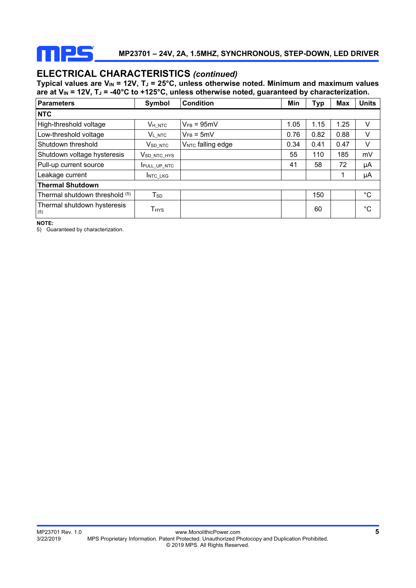

# **ELECTRICAL CHARACTERISTICS** *(continued)*

Typical values are V<sub>IN</sub> = 12V, T<sub>J</sub> = 25°C, unless otherwise noted. Minimum and maximum values are at V<sub>IN</sub> = 12V, T<sub>J</sub> = -40°C to +125°C, unless otherwise noted, guaranteed by characterization.

| <b>Parameters</b>                  | Symbol                     | <b>Condition</b>              | Min  | <b>Typ</b> | <b>Max</b> | <b>Units</b> |  |
|------------------------------------|----------------------------|-------------------------------|------|------------|------------|--------------|--|
| <b>NTC</b>                         |                            |                               |      |            |            |              |  |
| High-threshold voltage             | VH NTC                     | $V_{FB} = 95mV$               | 1.05 | 1.15       | 1.25       | V            |  |
| Low-threshold voltage              | <b>VL NTC</b>              | $V_{FB} = 5mV$                | 0.76 | 0.82       | 0.88       | V            |  |
| Shutdown threshold                 | $V_{\mathsf{SD\_NTC}}$     | V <sub>NTC</sub> falling edge | 0.34 | 0.41       | 0.47       | V            |  |
| Shutdown voltage hysteresis        | V <sub>SD</sub> NTC HYS    |                               | 55   | 110        | 185        | mV           |  |
| Pull-up current source             | <b>IPULL UP NTC</b>        |                               | 41   | 58         | 72         | μA           |  |
| Leakage current                    | INTC LKG                   |                               |      |            | 1          | μA           |  |
| <b>Thermal Shutdown</b>            |                            |                               |      |            |            |              |  |
| Thermal shutdown threshold (5)     | $\mathsf{T}_{\mathsf{SD}}$ |                               |      | 150        |            | $^{\circ}C$  |  |
| Thermal shutdown hysteresis<br>(5) | <b>T</b> <sub>HYS</sub>    |                               |      | 60         |            | °C           |  |

**NOTE:** 

5) Guaranteed by characterization.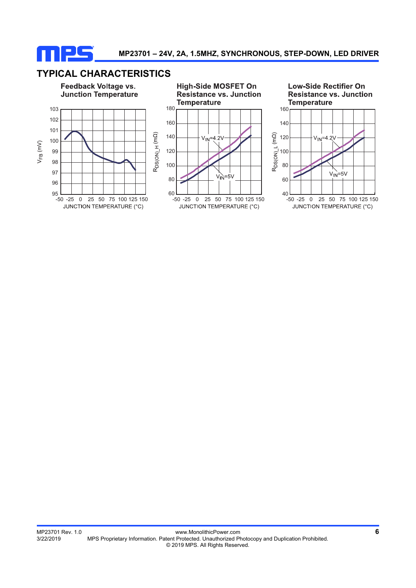

## **TYPICAL CHARACTERISTICS**

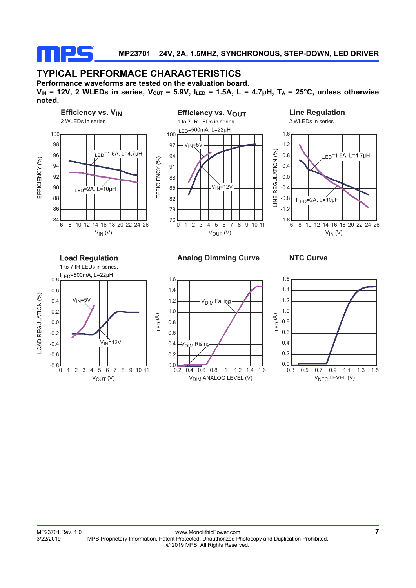

## **TYPICAL PERFORMACE CHARACTERISTICS**

**Performance waveforms are tested on the evaluation board.**   $V_{IN}$  = 12V, 2 WLEDs in series,  $V_{OUT}$  = 5.9V,  $I_{LED}$  = 1.5A, L = 4.7 $\mu$ H, T<sub>A</sub> = 25°C, unless otherwise **noted.**

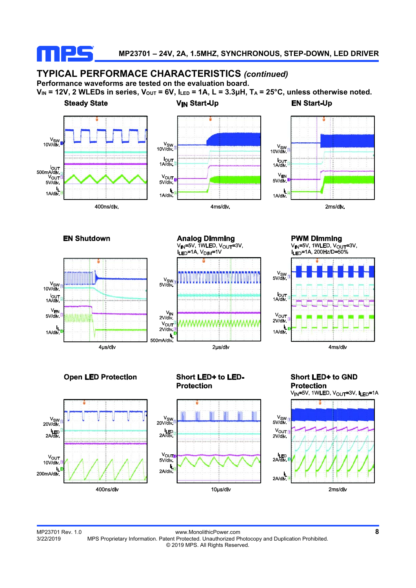

#### **TYPICAL PERFORMACE CHARACTERISTICS** *(continued)* **Performance waveforms are tested on the evaluation board.**

 $V_{IN}$  = 12V, 2 WLEDs in series,  $V_{OUT}$  = 6V,  $I_{LED}$  = 1A, L = 3.3 $\mu$ H, T<sub>A</sub> = 25°C, unless otherwise noted.













MP23701 Rev. 1.0 www.MonolithicPower.com **8** MPS Proprietary Information. Patent Protected. Unauthorized Photocopy and Duplication Prohibited. © 2019 MPS. All Rights Reserved.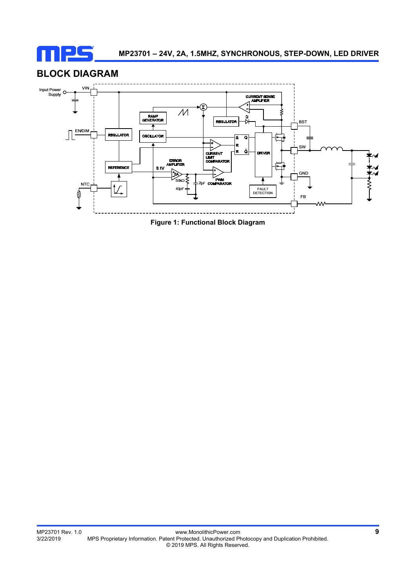

## **BLOCK DIAGRAM**



**Figure 1: Functional Block Diagram**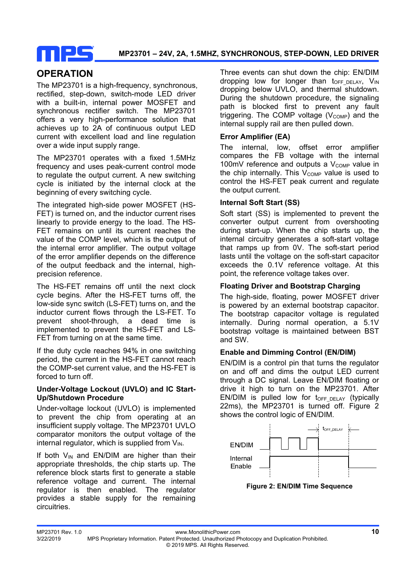

# **OPERATION**

The MP23701 is a high-frequency, synchronous, rectified, step-down, switch-mode LED driver with a built-in, internal power MOSFET and synchronous rectifier switch. The MP23701 offers a very high-performance solution that achieves up to 2A of continuous output LED current with excellent load and line regulation over a wide input supply range.

The MP23701 operates with a fixed 1.5MHz frequency and uses peak-current control mode to regulate the output current. A new switching cycle is initiated by the internal clock at the beginning of every switching cycle.

The integrated high-side power MOSFET (HS-FET) is turned on, and the inductor current rises linearly to provide energy to the load. The HS-FET remains on until its current reaches the value of the COMP level, which is the output of the internal error amplifier. The output voltage of the error amplifier depends on the difference of the output feedback and the internal, highprecision reference.

The HS-FET remains off until the next clock cycle begins. After the HS-FET turns off, the low-side sync switch (LS-FET) turns on, and the inductor current flows through the LS-FET. To prevent shoot-through, a dead time is implemented to prevent the HS-FET and LS-FET from turning on at the same time.

If the duty cycle reaches 94% in one switching period, the current in the HS-FET cannot reach the COMP-set current value, and the HS-FET is forced to turn off.

#### **Under-Voltage Lockout (UVLO) and IC Start-Up/Shutdown Procedure**

Under-voltage lockout (UVLO) is implemented to prevent the chip from operating at an insufficient supply voltage. The MP23701 UVLO comparator monitors the output voltage of the internal regulator, which is supplied from  $V_{IN}$ .

If both  $V_{IN}$  and EN/DIM are higher than their appropriate thresholds, the chip starts up. The reference block starts first to generate a stable reference voltage and current. The internal regulator is then enabled. The regulator provides a stable supply for the remaining circuitries.

Three events can shut down the chip: EN/DIM dropping low for longer than  $t_{OFF\ DELAY}$ ,  $V_{IN}$ dropping below UVLO, and thermal shutdown. During the shutdown procedure, the signaling path is blocked first to prevent any fault triggering. The COMP voltage  $(V_{\text{COMP}})$  and the internal supply rail are then pulled down.

#### **Error Amplifier (EA)**

The internal, low, offset error amplifier compares the FB voltage with the internal 100mV reference and outputs a  $V_{\text{COMP}}$  value in the chip internally. This  $V_{\text{COMP}}$  value is used to control the HS-FET peak current and regulate the output current.

#### **Internal Soft Start (SS)**

Soft start (SS) is implemented to prevent the converter output current from overshooting during start-up. When the chip starts up, the internal circuitry generates a soft-start voltage that ramps up from 0V. The soft-start period lasts until the voltage on the soft-start capacitor exceeds the 0.1V reference voltage. At this point, the reference voltage takes over.

#### **Floating Driver and Bootstrap Charging**

The high-side, floating, power MOSFET driver is powered by an external bootstrap capacitor. The bootstrap capacitor voltage is regulated internally. During normal operation, a 5.1V bootstrap voltage is maintained between BST and SW.

#### **Enable and Dimming Control (EN/DIM)**

EN/DIM is a control pin that turns the regulator on and off and dims the output LED current through a DC signal. Leave EN/DIM floating or drive it high to turn on the MP23701. After EN/DIM is pulled low for  $t_{OFF}$   $_{DEIAY}$  (typically 22ms), the MP23701 is turned off. Figure 2 shows the control logic of EN/DIM.



**Figure 2: EN/DIM Time Sequence**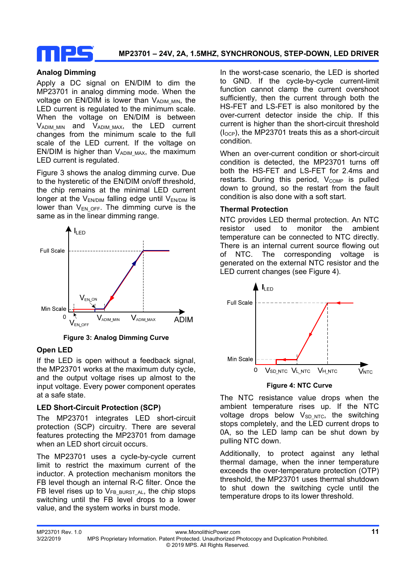

#### **Analog Dimming**

Apply a DC signal on EN/DIM to dim the MP23701 in analog dimming mode. When the voltage on  $EN/DIM$  is lower than  $V_{ADIM-MIN}$ , the LED current is regulated to the minimum scale. When the voltage on EN/DIM is between  $V_{ADIM\_MIN}$  and  $V_{ADIM\_MAX}$ , the LED current changes from the minimum scale to the full scale of the LED current. If the voltage on EN/DIM is higher than  $V_{ADIM MAX}$ , the maximum LED current is regulated.

Figure 3 shows the analog dimming curve. Due to the hysteretic of the EN/DIM on/off threshold, the chip remains at the minimal LED current longer at the  $V_{ENDIM}$  falling edge until  $V_{ENDIM}$  is lower than  $V_{EN,OFF}$ . The dimming curve is the same as in the linear dimming range.



**Figure 3: Analog Dimming Curve**

#### **Open LED**

If the LED is open without a feedback signal, the MP23701 works at the maximum duty cycle, and the output voltage rises up almost to the input voltage. Every power component operates at a safe state.

#### **LED Short-Circuit Protection (SCP)**

The MP23701 integrates LED short-circuit protection (SCP) circuitry. There are several features protecting the MP23701 from damage when an LED short circuit occurs.

The MP23701 uses a cycle-by-cycle current limit to restrict the maximum current of the inductor. A protection mechanism monitors the FB level though an internal R-C filter. Once the FB level rises up to  $V_{FB}$  BURST AL, the chip stops switching until the FB level drops to a lower value, and the system works in burst mode.

In the worst-case scenario, the LED is shorted to GND. If the cycle-by-cycle current-limit function cannot clamp the current overshoot sufficiently, then the current through both the HS-FET and LS-FET is also monitored by the over-current detector inside the chip. If this current is higher than the short-circuit threshold  $(I<sub>OCP</sub>)$ , the MP23701 treats this as a short-circuit condition.

When an over-current condition or short-circuit condition is detected, the MP23701 turns off both the HS-FET and LS-FET for 2.4ms and  $restarts.$  During this period,  $V_{COMP}$  is pulled down to ground, so the restart from the fault condition is also done with a soft start.

#### **Thermal Protection**

NTC provides LED thermal protection. An NTC resistor used to monitor the ambient temperature can be connected to NTC directly. There is an internal current source flowing out of NTC. The corresponding voltage is generated on the external NTC resistor and the LED current changes (see Figure 4).



**Figure 4: NTC Curve** 

The NTC resistance value drops when the ambient temperature rises up. If the NTC voltage drops below  $V_{SD, NTC}$ , the switching stops completely, and the LED current drops to 0A, so the LED lamp can be shut down by pulling NTC down.

Additionally, to protect against any lethal thermal damage, when the inner temperature exceeds the over-temperature protection (OTP) threshold, the MP23701 uses thermal shutdown to shut down the switching cycle until the temperature drops to its lower threshold.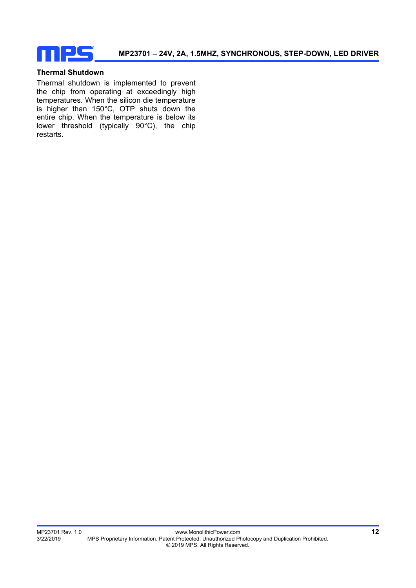

#### **Thermal Shutdown**

Thermal shutdown is implemented to prevent the chip from operating at exceedingly high temperatures. When the silicon die temperature is higher than 150°C, OTP shuts down the entire chip. When the temperature is below its lower threshold (typically 90°C), the chip restarts.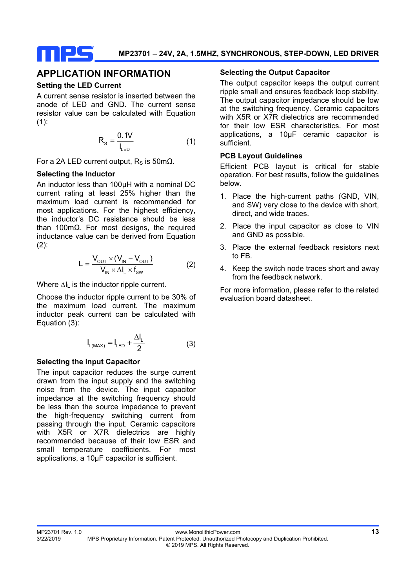

## **APPLICATION INFORMATION**

#### **Setting the LED Current**

A current sense resistor is inserted between the anode of LED and GND. The current sense resistor value can be calculated with Equation  $(1):$ 

$$
R_{s} = \frac{0.1V}{I_{LED}} \tag{1}
$$

For a 2A LED current output,  $R_s$  is 50mΩ.

#### **Selecting the Inductor**

An inductor less than 100µH with a nominal DC current rating at least 25% higher than the maximum load current is recommended for most applications. For the highest efficiency, the inductor's DC resistance should be less than 100mΩ. For most designs, the required inductance value can be derived from Equation  $(2)$ :

$$
L = \frac{V_{\text{OUT}} \times (V_{\text{IN}} - V_{\text{OUT}})}{V_{\text{IN}} \times \Delta I_{\text{L}} \times f_{\text{SW}}}
$$
(2)

Where ∆I<sub>L</sub> is the inductor ripple current.

Choose the inductor ripple current to be 30% of the maximum load current. The maximum inductor peak current can be calculated with Equation (3):

$$
I_{L(MAX)} = I_{LED} + \frac{\Delta I_L}{2}
$$
 (3)

#### **Selecting the Input Capacitor**

The input capacitor reduces the surge current drawn from the input supply and the switching noise from the device. The input capacitor impedance at the switching frequency should be less than the source impedance to prevent the high-frequency switching current from passing through the input. Ceramic capacitors with X5R or X7R dielectrics are highly recommended because of their low ESR and small temperature coefficients. For most applications, a 10µF capacitor is sufficient.

#### **Selecting the Output Capacitor**

The output capacitor keeps the output current ripple small and ensures feedback loop stability. The output capacitor impedance should be low at the switching frequency. Ceramic capacitors with X5R or X7R dielectrics are recommended for their low ESR characteristics. For most applications, a 10µF ceramic capacitor is sufficient.

#### **PCB Layout Guidelines**

Efficient PCB layout is critical for stable operation. For best results, follow the guidelines below.

- 1. Place the high-current paths (GND, VIN, and SW) very close to the device with short, direct, and wide traces.
- 2. Place the input capacitor as close to VIN and GND as possible.
- 3. Place the external feedback resistors next to FB.
- 4. Keep the switch node traces short and away from the feedback network.

For more information, please refer to the related evaluation board datasheet.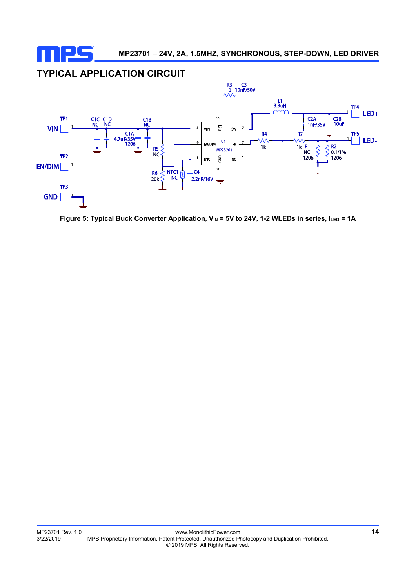

## **TYPICAL APPLICATION CIRCUIT**



Figure 5: Typical Buck Converter Application, V<sub>IN</sub> = 5V to 24V, 1-2 WLEDs in series, ILED = 1A